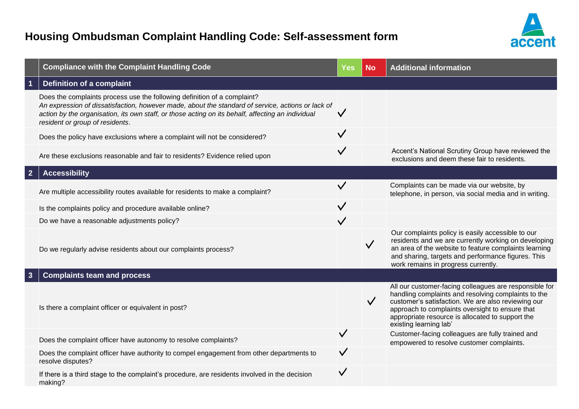

|                         | <b>Compliance with the Complaint Handling Code</b>                                                                                                                                                                                                                                                                    | <b>Yes</b>   | <b>No</b>    | <b>Additional information</b>                                                                                                                                                                                                                                                                        |
|-------------------------|-----------------------------------------------------------------------------------------------------------------------------------------------------------------------------------------------------------------------------------------------------------------------------------------------------------------------|--------------|--------------|------------------------------------------------------------------------------------------------------------------------------------------------------------------------------------------------------------------------------------------------------------------------------------------------------|
| $\overline{\mathbf{1}}$ | <b>Definition of a complaint</b>                                                                                                                                                                                                                                                                                      |              |              |                                                                                                                                                                                                                                                                                                      |
|                         | Does the complaints process use the following definition of a complaint?<br>An expression of dissatisfaction, however made, about the standard of service, actions or lack of<br>action by the organisation, its own staff, or those acting on its behalf, affecting an individual<br>resident or group of residents. | ✓            |              |                                                                                                                                                                                                                                                                                                      |
|                         | Does the policy have exclusions where a complaint will not be considered?                                                                                                                                                                                                                                             | $\checkmark$ |              |                                                                                                                                                                                                                                                                                                      |
|                         | Are these exclusions reasonable and fair to residents? Evidence relied upon                                                                                                                                                                                                                                           | $\checkmark$ |              | Accent's National Scrutiny Group have reviewed the<br>exclusions and deem these fair to residents.                                                                                                                                                                                                   |
| $\overline{2}$          | <b>Accessibility</b>                                                                                                                                                                                                                                                                                                  |              |              |                                                                                                                                                                                                                                                                                                      |
|                         | Are multiple accessibility routes available for residents to make a complaint?                                                                                                                                                                                                                                        | $\checkmark$ |              | Complaints can be made via our website, by<br>telephone, in person, via social media and in writing.                                                                                                                                                                                                 |
|                         | Is the complaints policy and procedure available online?                                                                                                                                                                                                                                                              | $\checkmark$ |              |                                                                                                                                                                                                                                                                                                      |
|                         | Do we have a reasonable adjustments policy?                                                                                                                                                                                                                                                                           | $\checkmark$ |              |                                                                                                                                                                                                                                                                                                      |
|                         | Do we regularly advise residents about our complaints process?                                                                                                                                                                                                                                                        |              | $\checkmark$ | Our complaints policy is easily accessible to our<br>residents and we are currently working on developing<br>an area of the website to feature complaints learning<br>and sharing, targets and performance figures. This<br>work remains in progress currently.                                      |
| $\mathbf{3}$            | <b>Complaints team and process</b>                                                                                                                                                                                                                                                                                    |              |              |                                                                                                                                                                                                                                                                                                      |
|                         | Is there a complaint officer or equivalent in post?                                                                                                                                                                                                                                                                   |              | $\checkmark$ | All our customer-facing colleagues are responsible for<br>handling complaints and resolving complaints to the<br>customer's satisfaction. We are also reviewing our<br>approach to complaints oversight to ensure that<br>appropriate resource is allocated to support the<br>existing learning lab' |
|                         | Does the complaint officer have autonomy to resolve complaints?                                                                                                                                                                                                                                                       |              |              | Customer-facing colleagues are fully trained and<br>empowered to resolve customer complaints.                                                                                                                                                                                                        |
|                         | Does the complaint officer have authority to compel engagement from other departments to<br>resolve disputes?                                                                                                                                                                                                         |              |              |                                                                                                                                                                                                                                                                                                      |
|                         | If there is a third stage to the complaint's procedure, are residents involved in the decision<br>making?                                                                                                                                                                                                             | $\checkmark$ |              |                                                                                                                                                                                                                                                                                                      |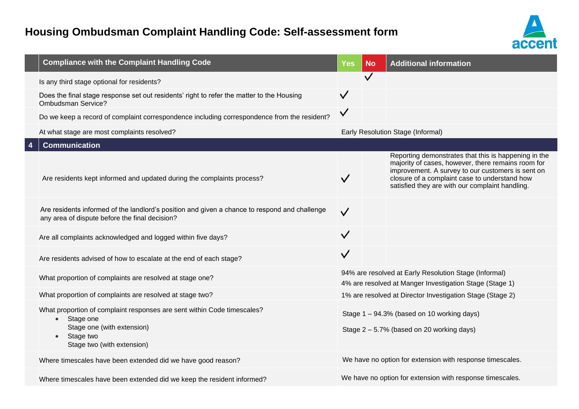

| <b>Compliance with the Complaint Handling Code</b>                                                                                                                                      | Yes          | <b>No</b>                                                                                                        | <b>Additional information</b>                                                                                                                                                                                                                                       |
|-----------------------------------------------------------------------------------------------------------------------------------------------------------------------------------------|--------------|------------------------------------------------------------------------------------------------------------------|---------------------------------------------------------------------------------------------------------------------------------------------------------------------------------------------------------------------------------------------------------------------|
| Is any third stage optional for residents?                                                                                                                                              |              |                                                                                                                  |                                                                                                                                                                                                                                                                     |
| Does the final stage response set out residents' right to refer the matter to the Housing<br>Ombudsman Service?                                                                         | $\checkmark$ |                                                                                                                  |                                                                                                                                                                                                                                                                     |
| Do we keep a record of complaint correspondence including correspondence from the resident?                                                                                             | $\checkmark$ |                                                                                                                  |                                                                                                                                                                                                                                                                     |
| At what stage are most complaints resolved?                                                                                                                                             |              |                                                                                                                  | Early Resolution Stage (Informal)                                                                                                                                                                                                                                   |
| <b>Communication</b>                                                                                                                                                                    |              |                                                                                                                  |                                                                                                                                                                                                                                                                     |
| Are residents kept informed and updated during the complaints process?                                                                                                                  |              |                                                                                                                  | Reporting demonstrates that this is happening in the<br>majority of cases, however, there remains room for<br>improvement. A survey to our customers is sent on<br>closure of a complaint case to understand how<br>satisfied they are with our complaint handling. |
| Are residents informed of the landlord's position and given a chance to respond and challenge<br>any area of dispute before the final decision?                                         | $\checkmark$ |                                                                                                                  |                                                                                                                                                                                                                                                                     |
| Are all complaints acknowledged and logged within five days?                                                                                                                            | $\checkmark$ |                                                                                                                  |                                                                                                                                                                                                                                                                     |
| Are residents advised of how to escalate at the end of each stage?                                                                                                                      | $\checkmark$ |                                                                                                                  |                                                                                                                                                                                                                                                                     |
| What proportion of complaints are resolved at stage one?                                                                                                                                |              | 94% are resolved at Early Resolution Stage (Informal)<br>4% are resolved at Manger Investigation Stage (Stage 1) |                                                                                                                                                                                                                                                                     |
| What proportion of complaints are resolved at stage two?                                                                                                                                |              |                                                                                                                  | 1% are resolved at Director Investigation Stage (Stage 2)                                                                                                                                                                                                           |
| What proportion of complaint responses are sent within Code timescales?<br>Stage one<br>$\bullet$<br>Stage one (with extension)<br>Stage two<br>$\bullet$<br>Stage two (with extension) |              |                                                                                                                  | Stage 1 - 94.3% (based on 10 working days)<br>Stage 2 - 5.7% (based on 20 working days)                                                                                                                                                                             |
| Where timescales have been extended did we have good reason?                                                                                                                            |              |                                                                                                                  | We have no option for extension with response timescales.                                                                                                                                                                                                           |
| Where timescales have been extended did we keep the resident informed?                                                                                                                  |              |                                                                                                                  | We have no option for extension with response timescales.                                                                                                                                                                                                           |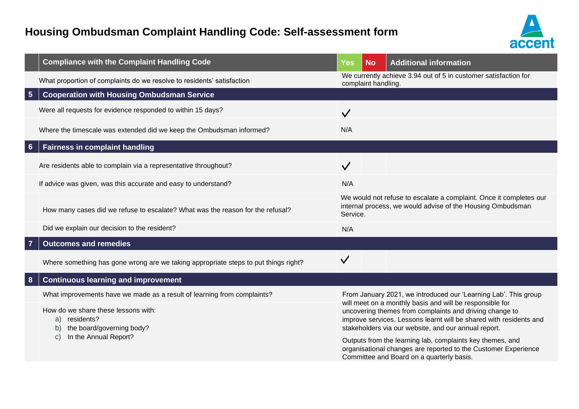

|                 | <b>Compliance with the Complaint Handling Code</b>                                                                                   | <b>Yes</b>   | <b>No</b>                                                                                                                                                                                                                                                                                                                                                                        | <b>Additional information</b>                                                                                                    |  |  |
|-----------------|--------------------------------------------------------------------------------------------------------------------------------------|--------------|----------------------------------------------------------------------------------------------------------------------------------------------------------------------------------------------------------------------------------------------------------------------------------------------------------------------------------------------------------------------------------|----------------------------------------------------------------------------------------------------------------------------------|--|--|
|                 | What proportion of complaints do we resolve to residents' satisfaction                                                               |              | complaint handling.                                                                                                                                                                                                                                                                                                                                                              | We currently achieve 3.94 out of 5 in customer satisfaction for                                                                  |  |  |
| $5\overline{5}$ | <b>Cooperation with Housing Ombudsman Service</b>                                                                                    |              |                                                                                                                                                                                                                                                                                                                                                                                  |                                                                                                                                  |  |  |
|                 | Were all requests for evidence responded to within 15 days?                                                                          | $\checkmark$ |                                                                                                                                                                                                                                                                                                                                                                                  |                                                                                                                                  |  |  |
|                 | Where the timescale was extended did we keep the Ombudsman informed?                                                                 | N/A          |                                                                                                                                                                                                                                                                                                                                                                                  |                                                                                                                                  |  |  |
| $6\phantom{1}$  | <b>Fairness in complaint handling</b>                                                                                                |              |                                                                                                                                                                                                                                                                                                                                                                                  |                                                                                                                                  |  |  |
|                 | Are residents able to complain via a representative throughout?                                                                      | $\checkmark$ |                                                                                                                                                                                                                                                                                                                                                                                  |                                                                                                                                  |  |  |
|                 | If advice was given, was this accurate and easy to understand?                                                                       | N/A          |                                                                                                                                                                                                                                                                                                                                                                                  |                                                                                                                                  |  |  |
|                 | How many cases did we refuse to escalate? What was the reason for the refusal?                                                       | Service.     |                                                                                                                                                                                                                                                                                                                                                                                  | We would not refuse to escalate a complaint. Once it completes our<br>internal process, we would advise of the Housing Ombudsman |  |  |
|                 | Did we explain our decision to the resident?                                                                                         | N/A          |                                                                                                                                                                                                                                                                                                                                                                                  |                                                                                                                                  |  |  |
| $\overline{7}$  | <b>Outcomes and remedies</b>                                                                                                         |              |                                                                                                                                                                                                                                                                                                                                                                                  |                                                                                                                                  |  |  |
|                 | Where something has gone wrong are we taking appropriate steps to put things right?                                                  | $\checkmark$ |                                                                                                                                                                                                                                                                                                                                                                                  |                                                                                                                                  |  |  |
| 8               | <b>Continuous learning and improvement</b>                                                                                           |              |                                                                                                                                                                                                                                                                                                                                                                                  |                                                                                                                                  |  |  |
|                 | What improvements have we made as a result of learning from complaints?                                                              |              | From January 2021, we introduced our 'Learning Lab'. This group                                                                                                                                                                                                                                                                                                                  |                                                                                                                                  |  |  |
|                 | How do we share these lessons with:<br>residents?<br>a)<br>the board/governing body?<br>b)<br>In the Annual Report?<br>$\mathcal{C}$ |              | will meet on a monthly basis and will be responsible for<br>uncovering themes from complaints and driving change to<br>improve services. Lessons learnt will be shared with residents and<br>stakeholders via our website, and our annual report.<br>Outputs from the learning lab, complaints key themes, and<br>organisational changes are reported to the Customer Experience |                                                                                                                                  |  |  |
|                 |                                                                                                                                      |              | Committee and Board on a quarterly basis.                                                                                                                                                                                                                                                                                                                                        |                                                                                                                                  |  |  |